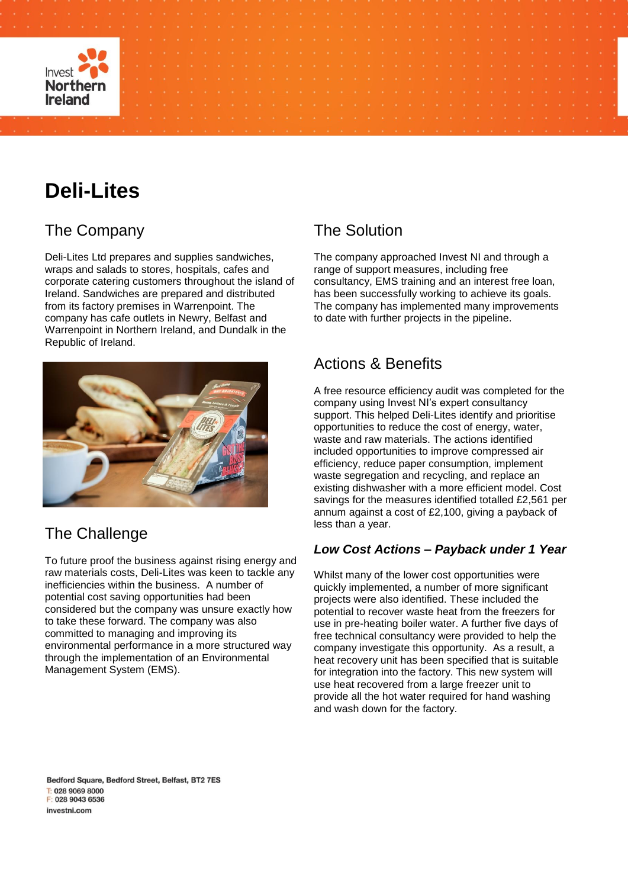

# **Deli-Lites**

## The Company

Deli-Lites Ltd prepares and supplies sandwiches, wraps and salads to stores, hospitals, cafes and corporate catering customers throughout the island of Ireland. Sandwiches are prepared and distributed from its factory premises in Warrenpoint. The company has cafe outlets in Newry, Belfast and Warrenpoint in Northern Ireland, and Dundalk in the Republic of Ireland.



## The Challenge

To future proof the business against rising energy and raw materials costs, Deli-Lites was keen to tackle any inefficiencies within the business. A number of potential cost saving opportunities had been considered but the company was unsure exactly how to take these forward. The company was also committed to managing and improving its environmental performance in a more structured way through the implementation of an Environmental Management System (EMS).

## The Solution

The company approached Invest NI and through a range of support measures, including free consultancy, EMS training and an interest free loan, has been successfully working to achieve its goals. The company has implemented many improvements to date with further projects in the pipeline.

### Actions & Benefits

A free resource efficiency audit was completed for the company using Invest NI's expert consultancy support. This helped Deli-Lites identify and prioritise opportunities to reduce the cost of energy, water, waste and raw materials. The actions identified included opportunities to improve compressed air efficiency, reduce paper consumption, implement waste segregation and recycling, and replace an existing dishwasher with a more efficient model. Cost savings for the measures identified totalled £2,561 per annum against a cost of £2,100, giving a payback of less than a year.

#### *Low Cost Actions – Payback under 1 Year*

Whilst many of the lower cost opportunities were quickly implemented, a number of more significant projects were also identified. These included the potential to recover waste heat from the freezers for use in pre-heating boiler water. A further five days of free technical consultancy were provided to help the company investigate this opportunity. As a result, a heat recovery unit has been specified that is suitable for integration into the factory. This new system will use heat recovered from a large freezer unit to provide all the hot water required for hand washing and wash down for the factory.

Bedford Square, Bedford Street, Belfast, BT2 7ES T: 028 9069 8000 F: 028 9043 6536 investni com